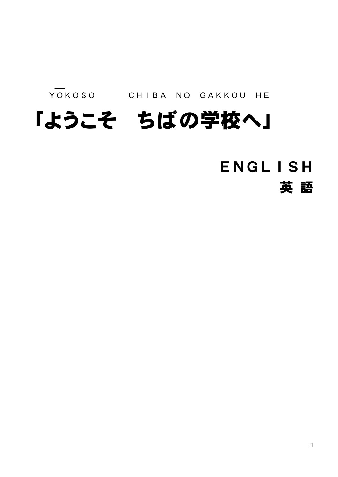YOKOSO CHIBA NO GAKKOU HE

## 「ようこそ ちばの学校へ」

## ENGLISH

英 語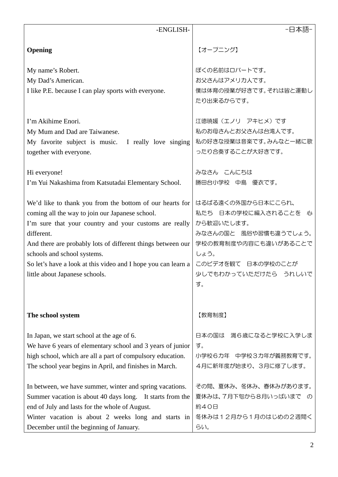| -ENGLISH-                                                                                                                                                                                                                                                                                                                                                                            | -日本語-                                                                                                                                                                 |
|--------------------------------------------------------------------------------------------------------------------------------------------------------------------------------------------------------------------------------------------------------------------------------------------------------------------------------------------------------------------------------------|-----------------------------------------------------------------------------------------------------------------------------------------------------------------------|
| Opening                                                                                                                                                                                                                                                                                                                                                                              | 【オープニング】                                                                                                                                                              |
| My name's Robert.<br>My Dad's American.<br>I like P.E. because I can play sports with everyone.                                                                                                                                                                                                                                                                                      | ぼくの名前はロバートです。<br>お父さんはアメリカ人です。<br>僕は体育の授業が好きです。それは皆と運動し<br>たり出来るからです。                                                                                                 |
| I'm Akihime Enori.<br>My Mum and Dad are Taiwanese.<br>My favorite subject is music. I really love singing<br>together with everyone.                                                                                                                                                                                                                                                | 江徳暁媛 (エノリ アキヒメ)です<br>私のお母さんとお父さんは台湾人です。<br>私の好きな授業は音楽です。みんなと一緒に歌<br>ったり合奏することが大好きです。                                                                                  |
| Hi everyone!<br>I'm Yui Nakashima from Katsutadai Elementary School.                                                                                                                                                                                                                                                                                                                 | みなさん こんにちは<br>勝田台小学校 中島 優衣です。                                                                                                                                         |
| We'd like to thank you from the bottom of our hearts for<br>coming all the way to join our Japanese school.<br>I'm sure that your country and your customs are really<br>different.<br>And there are probably lots of different things between our<br>schools and school systems.<br>So let's have a look at this video and I hope you can learn a<br>little about Japanese schools. | はるばる遠くの外国から日本にこられ、<br>私たち 日本の学校に編入されることを 心<br>から歓迎いたします。<br>みなさんの国と 風俗や習慣も違うでしょう。<br>学校の教育制度や内容にも違いがあることで<br>しょう。<br>このビデオを観て 日本の学校のことが<br>少しでもわかっていただけたら うれしいで<br>す。 |
| The school system                                                                                                                                                                                                                                                                                                                                                                    | 【教育制度】                                                                                                                                                                |
| In Japan, we start school at the age of 6.<br>We have 6 years of elementary school and 3 years of junior<br>high school, which are all a part of compulsory education.<br>The school year begins in April, and finishes in March.                                                                                                                                                    | 日本の国は 満6歳になると学校に入学しま<br>す。<br>小学校6力年 中学校3力年が義務教育です。<br>4月に新年度が始まり、3月に修了します。                                                                                           |
| In between, we have summer, winter and spring vacations.<br>Summer vacation is about 40 days long. It starts from the<br>end of July and lasts for the whole of August.<br>Winter vacation is about 2 weeks long and starts in                                                                                                                                                       | その間、夏休み、冬休み、春休みがあります。<br>夏休みは、7月下旬から8月いっぱいまで の<br>約40日<br>冬休みは12月から1月のはじめの2週間く                                                                                        |
| December until the beginning of January.                                                                                                                                                                                                                                                                                                                                             | らい。                                                                                                                                                                   |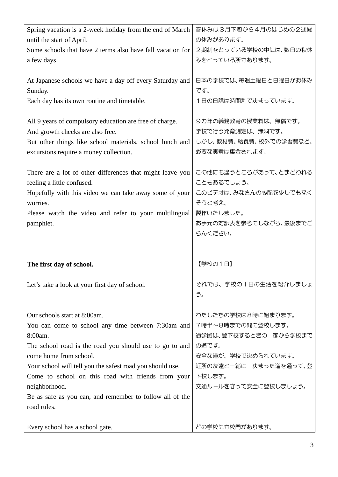| Spring vacation is a 2-week holiday from the end of March  | 春休みは3月下旬から4月のはじめの2週間   |
|------------------------------------------------------------|------------------------|
| until the start of April.                                  | の休みがあります。              |
| Some schools that have 2 terms also have fall vacation for | 2期制をとっている学校の中には、数日の秋休  |
| a few days.                                                | みをとっている所もあります。         |
|                                                            |                        |
| At Japanese schools we have a day off every Saturday and   | 日本の学校では、毎週土曜日と日曜日がお休み  |
| Sunday.                                                    | です。                    |
| Each day has its own routine and timetable.                | 1日の日課は時間割で決まっています。     |
|                                                            |                        |
| All 9 years of compulsory education are free of charge.    | 9力年の義務教育の授業料は、無償です。    |
| And growth checks are also free.                           | 学校で行う発育測定は、無料です。       |
| But other things like school materials, school lunch and   | しかし、教材費、給食費、校外での学習費など、 |
| excursions require a money collection.                     | 必要な実費は集金されます。          |
|                                                            |                        |
| There are a lot of other differences that might leave you  | この他にも違うところがあって、とまどわれる  |
| feeling a little confused.                                 | こともあるでしょう。             |
| Hopefully with this video we can take away some of your    | このビデオは、みなさんの心配を少しでもなく  |
| worries.                                                   | そうと考え、                 |
| Please watch the video and refer to your multilingual      | 製作いたしました。              |
| pamphlet.                                                  | お手元の対訳表を参考にしながら、最後までご  |
|                                                            | らんください。                |
|                                                            |                        |
| The first day of school.                                   | 【学校の1日】                |
|                                                            |                        |
| Let's take a look at your first day of school.             | それでは、学校の1日の生活を紹介しましょ   |
|                                                            | う。                     |
|                                                            |                        |
| Our schools start at 8:00am.                               | わたしたちの学校は8時に始まります。     |
| You can come to school any time between 7:30am and         | 7時半~8時までの間に登校します。      |
| 8:00am.                                                    | 通学路は、登下校するときの 家から学校まで  |
| The school road is the road you should use to go to and    | の道です。                  |
| come home from school.                                     | 安全な道が、学校で決められています。     |
| Your school will tell you the safest road you should use.  | 近所の友達と一緒に 決まった道を通って、登  |
| Come to school on this road with friends from your         | 下校します。                 |
| neighborhood.                                              | 交通ルールを守って安全に登校しましょう。   |
| Be as safe as you can, and remember to follow all of the   |                        |
| road rules.                                                |                        |
|                                                            |                        |
| Every school has a school gate.                            | どの学校にも校門があります。         |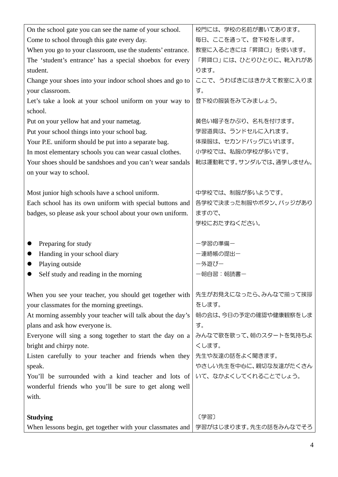| On the school gate you can see the name of your school.    | 校門には、学校の名前が書いてあります。    |
|------------------------------------------------------------|------------------------|
| Come to school through this gate every day.                | 毎日、ここを通って、登下校をします。     |
| When you go to your classroom, use the students' entrance. | 教室に入るときには「昇降口」を使います。   |
| The 'student's entrance' has a special shoebox for every   | 「昇降口」には、ひとりひとりに、靴入れがあ  |
| student.                                                   | ります。                   |
| Change your shoes into your indoor school shoes and go to  | ここで、うわばきにはきかえて教室に入りま   |
| your classroom.                                            | す。                     |
| Let's take a look at your school uniform on your way to    | 登下校の服装をみてみましょう。        |
| school.                                                    |                        |
| Put on your yellow hat and your nametag.                   | 黄色い帽子をかぶり、名札を付けます。     |
| Put your school things into your school bag.               | 学習道具は、ランドセルに入れます。      |
| Your P.E. uniform should be put into a separate bag.       | 体操服は、セカンドバッグにいれます。     |
|                                                            | 小学校では、私服の学校が多いです。      |
| In most elementary schools you can wear casual clothes.    |                        |
| Your shoes should be sandshoes and you can't wear sandals  | 靴は運動靴です。サンダルでは、通学しません。 |
| on your way to school.                                     |                        |
| Most junior high schools have a school uniform.            | 中学校では、制服が多いようです。       |
| Each school has its own uniform with special buttons and   | 各学校で決まった制服やボタン、バッジがあり  |
|                                                            | ますので、                  |
| badges, so please ask your school about your own uniform.  |                        |
|                                                            | 学校におたずねください。           |
| Preparing for study                                        | ー学習の準備ー                |
| Handing in your school diary                               | 一連絡帳の提出ー               |
| Playing outside                                            | 一外遊びー                  |
| Self study and reading in the morning                      | 一朝自習:朝読書一              |
|                                                            |                        |
| When you see your teacher, you should get together with    | 先生がお見えになったら、みんなで揃って挨拶  |
| your classmates for the morning greetings.                 | をします。                  |
| At morning assembly your teacher will talk about the day's | 朝の会は、今日の予定の確認や健康観察をしま  |
| plans and ask how everyone is.                             | す。                     |
| Everyone will sing a song together to start the day on a   | みんなで歌を歌って、朝のスタートを気持ちよ  |
| bright and chirpy note.                                    | くします。                  |
| Listen carefully to your teacher and friends when they     | 先生や友達の話をよく聞きます。        |
| speak.                                                     | やさしい先生を中心に、親切な友達がたくさん  |
| You'll be surrounded with a kind teacher and lots of       | いて、なかよくしてくれることでしょう。    |
| wonderful friends who you'll be sure to get along well     |                        |
| with.                                                      |                        |
|                                                            |                        |
| <b>Studying</b>                                            |                        |
|                                                            | 〔学習〕                   |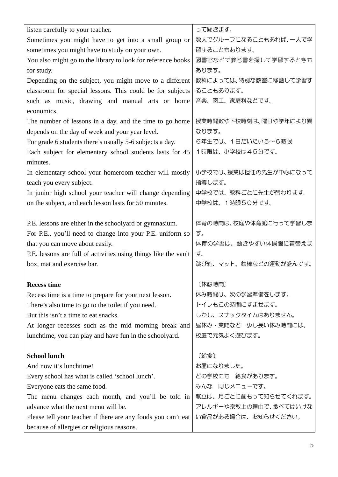| listen carefully to your teacher.                               | って聞きます。               |
|-----------------------------------------------------------------|-----------------------|
| Sometimes you might have to get into a small group or           | 数人でグループになることもあれば、一人で学 |
| sometimes you might have to study on your own.                  | 習することもあります。           |
| You also might go to the library to look for reference books    | 図書室などで参考書を探して学習するときも  |
| for study.                                                      | あります。                 |
| Depending on the subject, you might move to a different         | 教科によっては、特別な教室に移動して学習す |
| classroom for special lessons. This could be for subjects       | ることもあります。             |
| such as music, drawing and manual arts or home                  | 音楽、図工、家庭科などです。        |
| economics.                                                      |                       |
| The number of lessons in a day, and the time to go home         | 授業時間数や下校時刻は、曜日や学年により異 |
| depends on the day of week and your year level.                 | なります。                 |
| For grade 6 students there's usually 5-6 subjects a day.        | 6年生では、1日だいたい5~6時限     |
| Each subject for elementary school students lasts for 45        | 1時限は、小学校は45分です。       |
| minutes.                                                        |                       |
| In elementary school your homeroom teacher will mostly          | 小学校では、授業は担任の先生が中心になって |
| teach you every subject.                                        | 指導します。                |
| In junior high school your teacher will change depending        | 中学校では、教科ごとに先生が替わります。  |
| on the subject, and each lesson lasts for 50 minutes.           | 中学校は、1時限50分です。        |
|                                                                 |                       |
| P.E. lessons are either in the schoolyard or gymnasium.         | 体育の時間は、校庭や体育館に行って学習しま |
| For P.E., you'll need to change into your P.E. uniform so       | す。                    |
| that you can move about easily.                                 | 体育の学習は、動きやすい体操服に着替えま  |
| P.E. lessons are full of activities using things like the vault | す。                    |
| box, mat and exercise bar.                                      | 跳び箱、マット、鉄棒などの運動が盛んです。 |
|                                                                 |                       |
| <b>Recess time</b>                                              | 〔休憩時間〕                |
| Recess time is a time to prepare for your next lesson.          | 休み時間は、次の学習準備をします。     |
| There's also time to go to the toilet if you need.              | トイレもこの時間にすませます。       |
| But this isn't a time to eat snacks.                            | しかし、スナックタイムはありません。    |
| At longer recesses such as the mid morning break and            | 昼休み・業間など 少し長い休み時間には、  |
| lunchtime, you can play and have fun in the schoolyard.         | 校庭で元気よく遊びます。          |
|                                                                 |                       |
| <b>School lunch</b>                                             | 〔給食〕                  |
| And now it's lunchtime!                                         | お昼になりました。             |
| Every school has what is called 'school lunch'.                 | どの学校にも 給食があります。       |
| Everyone eats the same food.                                    | みんな 同じメニューです。         |
| The menu changes each month, and you'll be told in              | 献立は、月ごとに前もって知らせてくれます。 |
| advance what the next menu will be.                             | アレルギーや宗教上の理由で、食べてはいけな |
| Please tell your teacher if there are any foods you can't eat   | い食品がある場合は、お知らせください。   |
| because of allergies or religious reasons.                      |                       |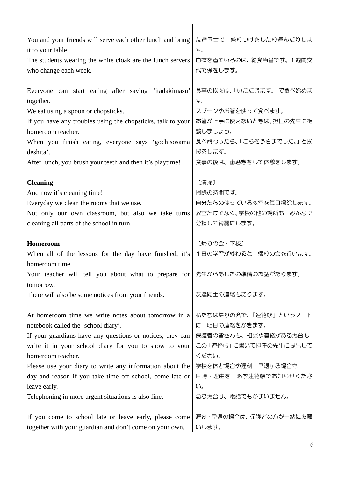| You and your friends will serve each other lunch and bring                                                        | 友達同士で 盛りつけをしたり運んだりしま           |
|-------------------------------------------------------------------------------------------------------------------|--------------------------------|
| it to your table.                                                                                                 | す。                             |
| The students wearing the white cloak are the lunch servers                                                        | 白衣を着ているのは、給食当番です。 1週間交         |
| who change each week.                                                                                             | 代で係をします。                       |
|                                                                                                                   |                                |
| Everyone can start eating after saying 'itadakimasu'                                                              | 食事の挨拶は、「いただきます。」で食べ始めま         |
| together.                                                                                                         | す。                             |
|                                                                                                                   | スプーンやお箸を使って食べます。               |
| We eat using a spoon or chopsticks.                                                                               |                                |
| If you have any troubles using the chopsticks, talk to your                                                       | お箸が上手に使えないときは、担任の先生に相          |
| homeroom teacher.                                                                                                 | 談しましょう。                        |
| When you finish eating, everyone says 'gochisosama                                                                | 食べ終わったら、「ごちそうさまでした。」と挨         |
| deshita'.                                                                                                         | 拶をします。                         |
| After lunch, you brush your teeth and then it's playtime!                                                         | 食事の後は、歯磨きをして休憩をします。            |
|                                                                                                                   |                                |
| <b>Cleaning</b>                                                                                                   | 〔清掃〕                           |
| And now it's cleaning time!                                                                                       | 掃除の時間です。                       |
| Everyday we clean the rooms that we use.                                                                          | 自分たちの使っている教室を毎日掃除します。          |
| Not only our own classroom, but also we take turns                                                                | 教室だけでなく、学校の他の場所も みんなで          |
| cleaning all parts of the school in turn.                                                                         | 分担して綺麗にします。                    |
|                                                                                                                   |                                |
|                                                                                                                   |                                |
| Homeroom                                                                                                          | 〔帰りの会・下校〕                      |
| When all of the lessons for the day have finished, it's                                                           | 1日の学習が終わると 帰りの会を行います。          |
| homeroom time.                                                                                                    |                                |
|                                                                                                                   | 先生からあしたの準備のお話があります。            |
| Your teacher will tell you about what to prepare for                                                              |                                |
| tomorrow.                                                                                                         |                                |
| There will also be some notices from your friends.                                                                | 友達同士の連絡もあります。                  |
|                                                                                                                   |                                |
| At homeroom time we write notes about tomorrow in a                                                               | 私たちは帰りの会で、「連絡帳」というノート          |
| notebook called the 'school diary'.                                                                               | 明日の連絡をかきます。<br>に               |
| If your guardians have any questions or notices, they can                                                         | 保護者の皆さんも、相談や連絡がある場合も           |
| write it in your school diary for you to show to your                                                             | この「連絡帳」に書いて担任の先生に提出して          |
| homeroom teacher.                                                                                                 | ください。                          |
| Please use your diary to write any information about the                                                          | 学校を休む場合や遅刻・早退する場合も             |
| day and reason if you take time off school, come late or                                                          | 日時・理由を 必ず連絡帳でお知らせくださ           |
| leave early.                                                                                                      | $U_{\circ}$                    |
| Telephoning in more urgent situations is also fine.                                                               | 急な場合は、電話でもかまいません。              |
|                                                                                                                   |                                |
| If you come to school late or leave early, please come<br>together with your guardian and don't come on your own. | 遅刻・早退の場合は、保護者の方が一緒にお願<br>いします。 |